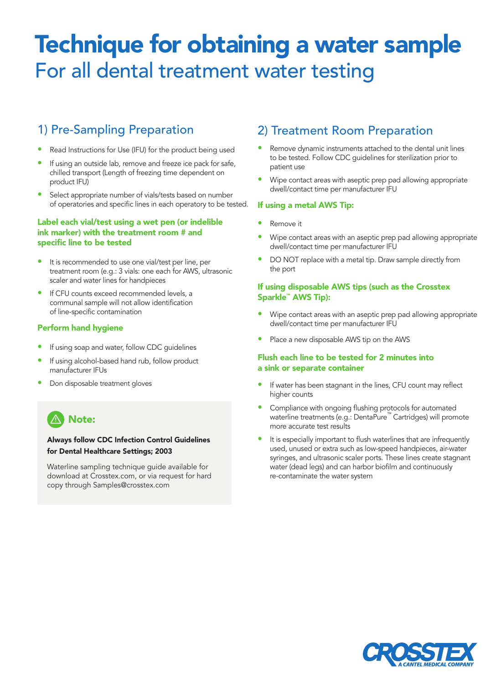# Technique for obtaining a water sample For all dental treatment water testing

# 1) Pre-Sampling Preparation

- Read Instructions for Use (IFU) for the product being used
- If using an outside lab, remove and freeze ice pack for safe, chilled transport (Length of freezing time dependent on product IFU)
- Select appropriate number of vials/tests based on number of operatories and specific lines in each operatory to be tested.

#### Label each vial/test using a wet pen (or indelible ink marker) with the treatment room # and specific line to be tested

- It is recommended to use one vial/test per line, per treatment room (e.g.: 3 vials: one each for AWS, ultrasonic scaler and water lines for handpieces
- If CFU counts exceed recommended levels, a communal sample will not allow identification of line-specific contamination

#### Perform hand hygiene

- If using soap and water, follow CDC quidelines
- If using alcohol-based hand rub, follow product manufacturer IFUs
- Don disposable treatment gloves

# **A** Note:

#### Always follow CDC Infection Control Guidelines for Dental Healthcare Settings; 2003

Waterline sampling technique guide available for download at Crosstex.com, or via request for hard copy through Samples@crosstex.com

# 2) Treatment Room Preparation

- Remove dynamic instruments attached to the dental unit lines to be tested. Follow CDC guidelines for sterilization prior to patient use
- Wipe contact areas with aseptic prep pad allowing appropriate dwell/contact time per manufacturer IFU

#### If using a metal AWS Tip:

- Remove it
- Wipe contact areas with an aseptic prep pad allowing appropriate dwell/contact time per manufacturer IFU
- DO NOT replace with a metal tip. Draw sample directly from the port

#### If using disposable AWS tips (such as the Crosstex Sparkle™ AWS Tip):

- Wipe contact areas with an aseptic prep pad allowing appropriate dwell/contact time per manufacturer IFU
- Place a new disposable AWS tip on the AWS

#### Flush each line to be tested for 2 minutes into a sink or separate container

- If water has been stagnant in the lines, CFU count may reflect higher counts
- Compliance with ongoing flushing protocols for automated waterline treatments (e.g.: DentaPure™ Cartridges) will promote more accurate test results
- It is especially important to flush waterlines that are infrequently used, unused or extra such as low-speed handpieces, air-water syringes, and ultrasonic scaler ports. These lines create stagnant water (dead legs) and can harbor biofilm and continuously re-contaminate the water system